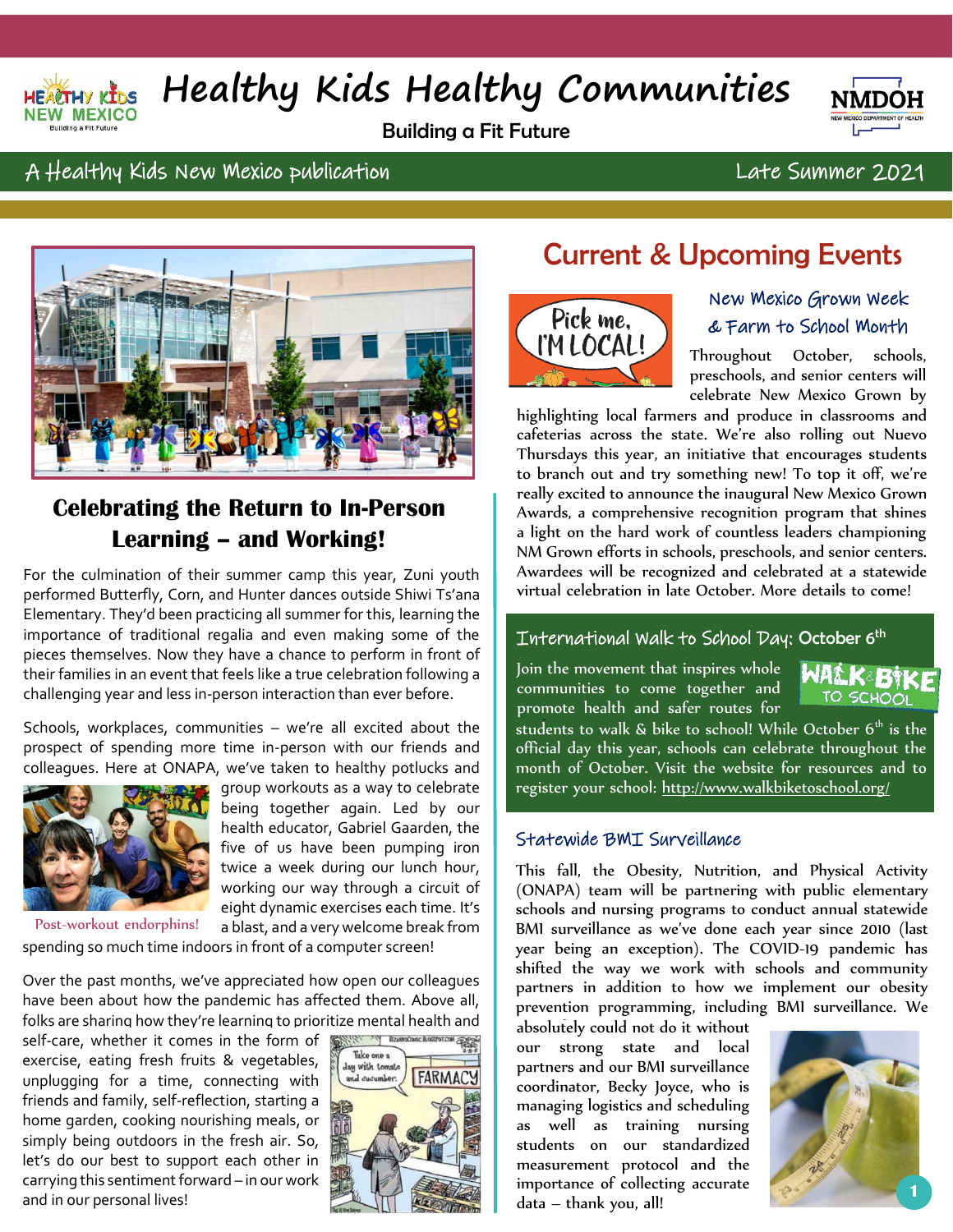

# **Healthy Kids Healthy Communities**

Building a Fit Future



### A Healthy Kids New Mexico publication Late Summer 2021



## **Celebrating the Return to In-Person Learning – and Working!**

For the culmination of their summer camp this year, Zuni youth performed Butterfly, Corn, and Hunter dances outside Shiwi Ts'ana Elementary. They'd been practicing all summer for this, learning the importance of traditional regalia and even making some of the pieces themselves. Now they have a chance to perform in front of their families in an event that feels like a true celebration following a challenging year and less in-person interaction than ever before.

Schools, workplaces, communities – we're all excited about the prospect of spending more time in-person with our friends and colleagues. Here at ONAPA, we've taken to healthy potlucks and



group workouts as a way to celebrate being together again. Led by our health educator, Gabriel Gaarden, the five of us have been pumping iron twice a week during our lunch hour, working our way through a circuit of eight dynamic exercises each time. It's

a blast, and a very welcome break from spending so much time indoors in front of a computer screen! Post-workout endorphins!

Over the past months, we've appreciated how open our colleagues have been about how the pandemic has affected them. Above all, folks are sharing how they're learning to prioritize mental health and

self-care, whether it comes in the form of exercise, eating fresh fruits & vegetables, unplugging for a time, connecting with friends and family, self-reflection, starting a home garden, cooking nourishing meals, or simply being outdoors in the fresh air. So, let's do our best to support each other in carrying this sentiment forward – in our work and in our personal lives!



## Current & Upcoming Events



#### New Mexico Grown Week & Farm to School Month

Throughout October, schools, preschools, and senior centers will celebrate New Mexico Grown by

highlighting local farmers and produce in classrooms and high cafeterias across the state. We're also rolling out Nuevo Thursdays this year, an initiative that encourages students to branch out and try something new! To top it off, we're really excited to announce the inaugural New Mexico Grown Awards, a comprehensive recognition program that shines a light on the hard work of countless leaders championing NM Grown efforts in schools, preschools, and senior centers. Awardees will be recognized and celebrated at a statewide virtual celebration in late October. More details to come!

#### International Walk to School Day: October 6th

Join the movement that inspires whole communities to come together and promote health and safer routes for



students to walk & bike to school! While October  $6^\text{th}$  is the official day this year, schools can celebrate throughout the month of October. Visit the website for resources and to register your school: <u>http://www.walkbiketoschool.org/</u>

#### Statewide BMI Surveillance

This fall, the Obesity, Nutrition, and Physical Activity (ONAPA) team will be partnering with public elementary schools and nursing programs to conduct annual statewide BMI surveillance as we've done each year since 2010 (last year being an exception). The COVID-19 pandemic has shifted the way we work with schools and community partners in addition to how we implement our obesity prevention programming, including BMI surveillance. We

absolutely could not do it without our strong state and local partners and our BMI surveillance coordinator, Becky Joyce, who is managing logistics and scheduling as well as training nursing students on our standardized measurement protocol and the importance of collecting accurate data – thank you, all! **<sup>1</sup>**

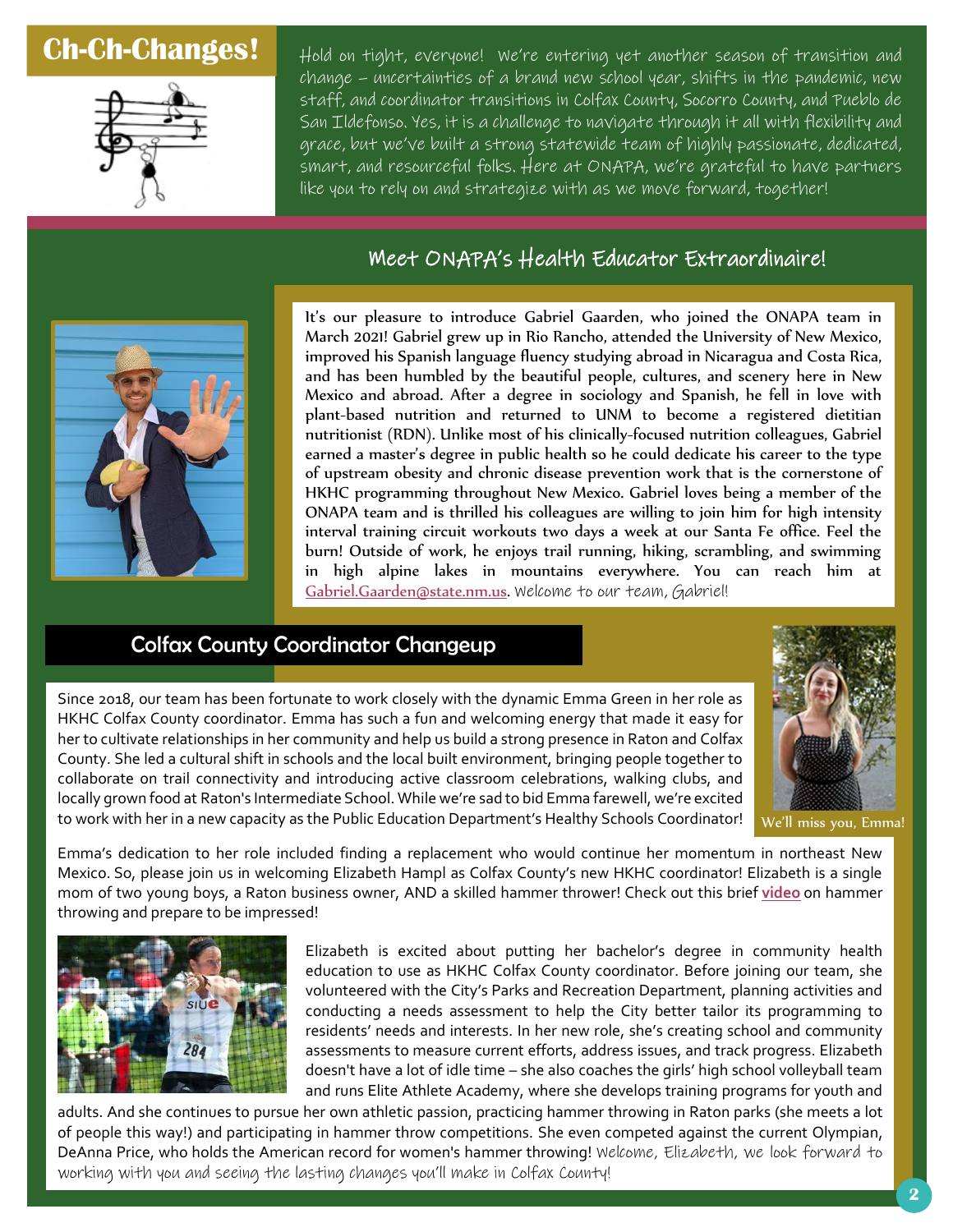## **Ch-Ch-Changes!**



Hold on tight, everyone! We're entering yet another season of transition and change – uncertainties of a brand new school year, shifts in the pandemic, new staff, and coordinator transitions in Colfax County, Socorro County, and Pueblo de San Ildefonso. Yes, it is a challenge to navigate through it all with flexibility and grace, but we've built a strong statewide team of highly passionate, dedicated, smart, and resourceful folks. Here at ONAPA, we're grateful to have partners like you to rely on and strategize with as we move forward, together!

### Meet ONAPA's Health Educator Extraordinaire!



It's our pleasure to introduce Gabriel Gaarden, who joined the ONAPA team in March 2021! Gabriel grew up in Rio Rancho, attended the University of New Mexico, improved his Spanish language fluency studying abroad in Nicaragua and Costa Rica, and has been humbled by the beautiful people, cultures, and scenery here in New Mexico and abroad. After a degree in sociology and Spanish, he fell in love with plant-based nutrition and returned to UNM to become a registered dietitian nutritionist (RDN). Unlike most of his clinically-focused nutrition colleagues, Gabriel earned a master's degree in public health so he could dedicate his career to the type of upstream obesity and chronic disease prevention work that is the cornerstone of HKHC programming throughout New Mexico. Gabriel loves being a member of the ONAPA team and is thrilled his colleagues are willing to join him for high intensity interval training circuit workouts two days a week at our Santa Fe office. Feel the burn! Outside of work, he enjoys trail running, hiking, scrambling, and swimming in high alpine lakes in mountains everywhere. You can reach him at [Gabriel.Gaarden@state.nm.us.](mailto:Gabriel.Gaarden@state.nm.us) Welcome to our team, Gabriel!

#### Colfax County Coordinator Changeup

We'll miss you, Emma!

collaborate on trail connectivity and introducing active classroom celebrations, walking clubs, and locally grown food at Raton's Intermediate School. While we're sad to bid Emma farewell, we're excited to work with her in a new capacity as the Public Education Department's Healthy Schools Coordinator! Emma's dedication to her role included finding a replacement who would continue her momentum in northeast New Mexico. So, please join us in welcoming Elizabeth Hampl as Colfax County's new HKHC coordinator! Elizabeth is a single

mom of two young boys, a Raton business owner, AND a skilled hammer thrower! Check out this brief **[video](https://www.teamusa.org/Video/2021/06/27/DeAnna-Price-Womens-Hammer-Throw-Final--Track--Field-US-Olympic-Team-Trials-2021)** on hammer throwing and prepare to be impressed!

Since 2018, our team has been fortunate to work closely with the dynamic Emma Green in her role as HKHC Colfax County coordinator. Emma has such a fun and welcoming energy that made it easy for her to cultivate relationships in her community and help us build a strong presence in Raton and Colfax County. She led a cultural shift in schools and the local built environment, bringing people together to



Elizabeth is excited about putting her bachelor's degree in community health education to use as HKHC Colfax County coordinator. Before joining our team, she volunteered with the City's Parks and Recreation Department, planning activities and conducting a needs assessment to help the City better tailor its programming to residents' needs and interests. In her new role, she's creating school and community assessments to measure current efforts, address issues, and track progress. Elizabeth doesn't have a lot of idle time – she also coaches the girls' high school volleyball team and runs Elite Athlete Academy, where she develops training programs for youth and

ad adults. And she continues to pursue her own athletic passion, practicing hammer throwing in Raton parks (she meets a lot of people this way!) and participating in hammer throw competitions. She even competed against the current Olympian, DeAnna Price, who holds the American record for women's hammer throwing! Welcome, Elizabeth, we look forward to working with you and seeing the lasting changes you'll make in Colfax County!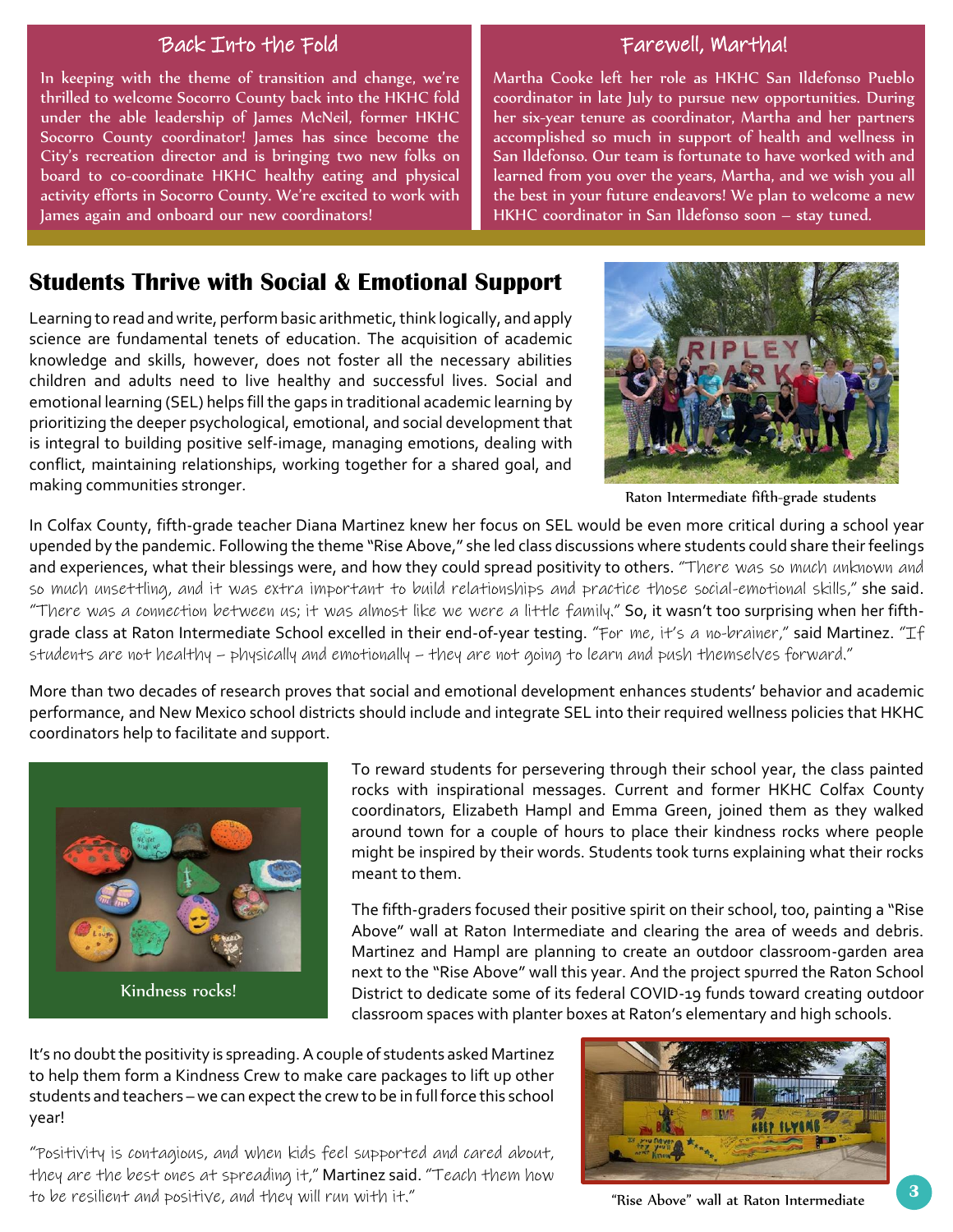#### Back Into the Fold Farewell, Martha!

In keeping with the theme of transition and change, we're thrilled to welcome Socorro County back into the HKHC fold under the able leadership of James McNeil, former HKHC Socorro County coordinator! James has since become the City's recreation director and is bringing two new folks on board to co-coordinate HKHC healthy eating and physical activity efforts in Socorro County. We're excited to work with James again and onboard our new coordinators!

Martha Cooke left her role as HKHC San Ildefonso Pueblo coordinator in late July to pursue new opportunities. During her six-year tenure as coordinator, Martha and her partners accomplished so much in support of health and wellness in San Ildefonso. Our team is fortunate to have worked with and learned from you over the years, Martha, and we wish you all the best in your future endeavors! We plan to welcome a new HKHC coordinator in San Ildefonso soon – stay tuned.

### **Students Thrive with Social & Emotional Support**

Learning to read and write, perform basic arithmetic, think logically, and apply science are fundamental tenets of education. The acquisition of academic knowledge and skills, however, does not foster all the necessary abilities children and adults need to live healthy and successful lives. Social and emotional learning (SEL) helps fill the gaps in traditional academic learning by prioritizing the deeper psychological, emotional, and social development that is integral to building positive self-image, managing emotions, dealing with conflict, maintaining relationships, working together for a shared goal, and making communities stronger.



Raton Intermediate fifth-grade students

In Colfax County, fifth-grade teacher Diana Martinez knew her focus on SEL would be even more critical during a school year upended by the pandemic. Following the theme "Rise Above," she led class discussions where students could share their feelings and experiences, what their blessings were, and how they could spread positivity to others. "There was so much unknown and so much unsettling, and it was extra important to build relationships and practice those social-emotional skills," she said. "There was a connection between us; it was almost like we were a little family." So, it wasn't too surprising when her fifthgrade class at Raton Intermediate School excelled in their end-of-year testing. "For me, it's a no-brainer," said Martinez. "If students are not healthy – physically and emotionally – they are not going to learn and push themselves forward."

More than two decades of research proves that social and emotional development enhances students' behavior and academic performance, and New Mexico school districts should include and integrate SEL into their required wellness policies that HKHC coordinators help to facilitate and support.



Kindness rocks!

To reward students for persevering through their school year, the class painted To reward students for persevering through their school year, the class painted<br>rocks with inspirational messages. Current and former HKHC Colfax County coordinators, Elizabeth Hampl and Emma Green, joined them as they walked around town for a couple of hours to place their kindness rocks where people might be inspired by their words. Students took turns explaining what their rocks meant to them.

Wartinez and Hampl are planning to create an outdoor classroom-garden area Martinez and Hampl are planning to create an outdoor classroom-garden area<br>next to the "Rise Above" wall this year. And the project spurred the Raton School Kindness rocks! District to dedicate some of its federal COVID-19 funds toward creating outdoor The fifth-graders focused their positive spirit on their school, too, painting a "Rise Above" wall at Raton Intermediate and clearing the area of weeds and debris. classroom spaces with planter boxes at Raton's elementary and high schools.

It's no doubt the positivity is spreading. A couple of students asked Martinez to help them form a Kindness Crew to make care packages to lift up other students and teachers – we can expect the crew to be in full force this school year!

"Positivity is contagious, and when kids feel supported and cared about, they are the best ones at spreading it," Martinez said. "Teach them how to be resilient and positive, and they will run with it."

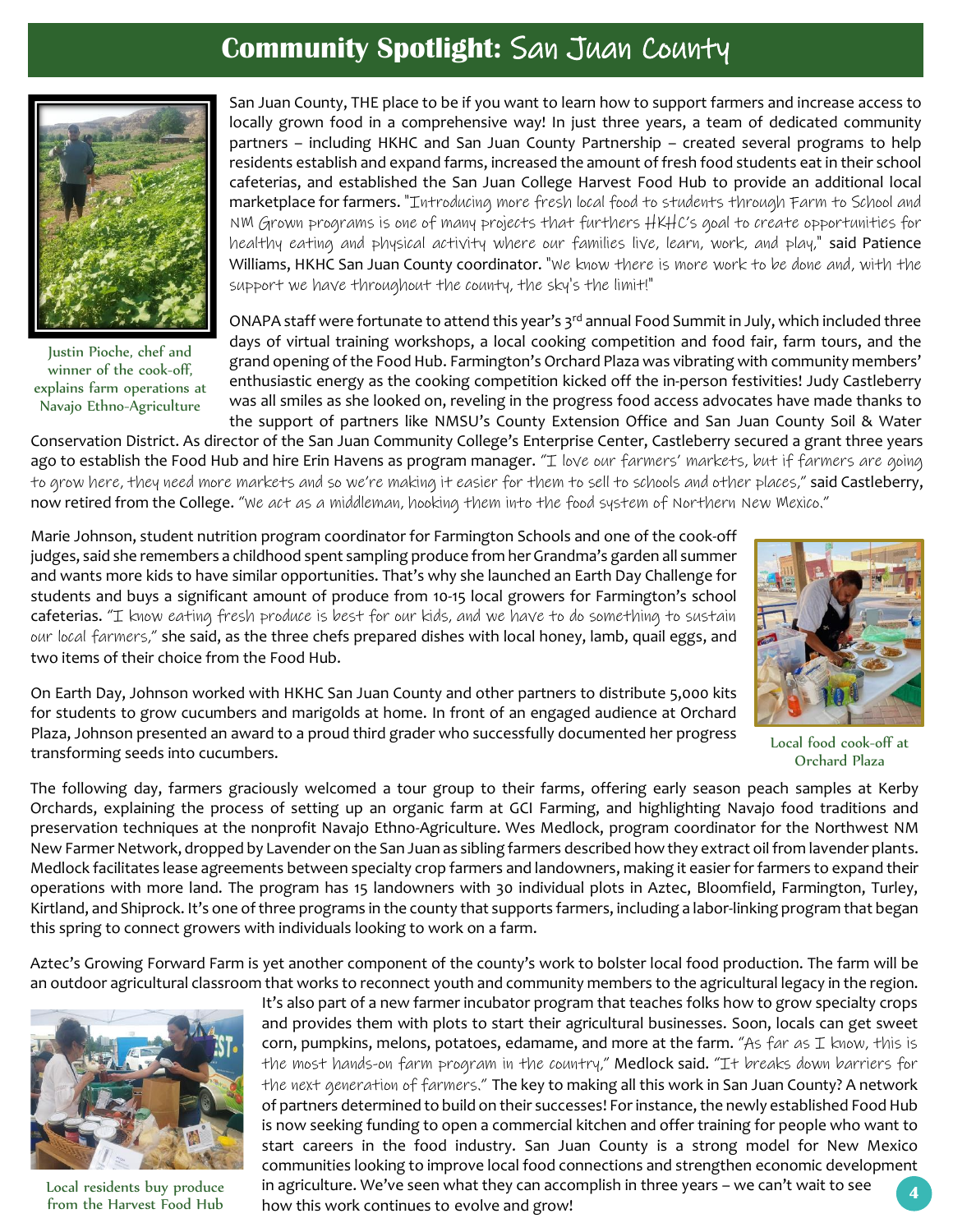## **Community Spotlight:** San Juan County



Justin Pioche, chef and winner of the cook-off, explains farm operations at Navajo Ethno-Agriculture

San Juan County, THE place to be if you want to learn how to support farmers and increase access to locally grown food in a comprehensive way! In just three years, a team of dedicated community partners – including HKHC and San Juan County Partnership – created several programs to help residents establish and expand farms, increased the amount of fresh food students eat in their school cafeterias, and established the San Juan College Harvest Food Hub to provide an additional local marketplace for farmers. "Introducing more fresh local food to students through Farm to School and NM Grown programs is one of many projects that furthers HKHC's goal to create opportunities for healthy eating and physical activity where our families live, learn, work, and play," said Patience Williams, HKHC San Juan County coordinator. "We know there is more work to be done and, with the support we have throughout the county, the sky's the limit!"

ONAPA staff were fortunate to attend this year's 3<sup>rd</sup> annual Food Summit in July, which included three days of virtual training workshops, a local cooking competition and food fair, farm tours, and the grand opening of the Food Hub. Farmington's Orchard Plaza was vibrating with community members' enthusiastic energy as the cooking competition kicked off the in-person festivities! Judy Castleberry was all smiles as she looked on, reveling in the progress food access advocates have made thanks to the support of partners like NMSU's County Extension Office and San Juan County Soil & Water

Conservation District. As director of the San Juan Community College's Enterprise Center, Castleberry secured a grant three years Conservation ago to establish the Food Hub and hire Erin Havens as program manager. "I love our farmers' markets, but if farmers are going to grow here, they need more markets and so we're making it easier for them to sell to schools and other places," said Castleberry, now retired from the College. "We act as a middleman, hooking them into the food system of Northern New Mexico."

Marie Johnson, student nutrition program coordinator for Farmington Schools and one of the cook-off judges, said she remembers a childhood spent sampling produce from her Grandma's garden all summer and wants more kids to have similar opportunities. That's why she launched an Earth Day Challenge for students and buys a significant amount of produce from 10-15 local growers for Farmington's school cafeterias. "I know eating fresh produce is best for our kids, and we have to do something to sustain our local farmers," she said, as the three chefs prepared dishes with local honey, lamb, quail eggs, and two items of their choice from the Food Hub.



On Earth Day, Johnson worked with HKHC San Juan County and other partners to distribute 5,000 kits for students to grow cucumbers and marigolds at home. In front of an engaged audience at Orchard Plaza, Johnson presented an award to a proud third grader who successfully documented her progress transforming seeds into cucumbers.

Local food cook-off at Orchard Plaza

The following day, farmers graciously welcomed a tour group to their farms, offering early season peach samples at Kerby Orchards, explaining the process of setting up an organic farm at GCI Farming, and highlighting Navajo food traditions and preservation techniques at the nonprofit Navajo Ethno-Agriculture. Wes Medlock, program coordinator for the Northwest NM New Farmer Network, dropped by Lavender on the San Juan as sibling farmers described how they extract oil from lavender plants. Medlock facilitates lease agreements between specialty crop farmers and landowners, making it easier for farmers to expand their operations with more land. The program has 15 landowners with 30 individual plots in Aztec, Bloomfield, Farmington, Turley, Kirtland, and Shiprock. It's one of three programs in the county that supports farmers, including a labor-linking program that began this spring to connect growers with individuals looking to work on a farm.

Aztec's Growing Forward Farm is yet another component of the county's work to bolster local food production. The farm will be an outdoor agricultural classroom that works to reconnect youth and community members to the agricultural legacy in the region.



Local residents buy produce from the Harvest Food Hub

**4** It's also part of a new farmer incubator program that teaches folks how to grow specialty crops and provides them with plots to start their agricultural businesses. Soon, locals can get sweet corn, pumpkins, melons, potatoes, edamame, and more at the farm. "As far as  $I$  know, this is the most hands-on farm program in the country," Medlock said. "It breaks down barriers for the next generation of farmers." The key to making all this work in San Juan County? A network of partners determined to build on their successes! For instance, the newly established Food Hub is now seeking funding to open a commercial kitchen and offer training for people who want to start careers in the food industry. San Juan County is a strong model for New Mexico communities looking to improve local food connections and strengthen economic development in agriculture. We've seen what they can accomplish in three years – we can't wait to see how this work continues to evolve and grow!